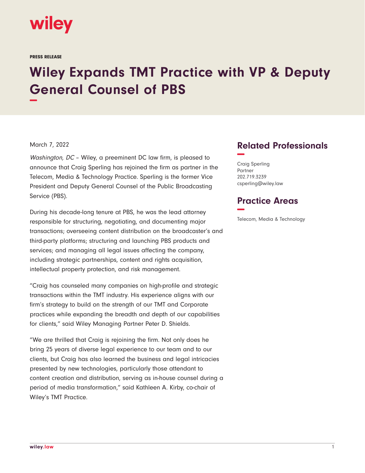

PRESS RELEASE

## **Wiley Expands TMT Practice with VP & Deputy General Counsel of PBS −**

## March 7, 2022

Washington, DC - Wiley, a preeminent DC law firm, is pleased to announce that Craig Sperling has rejoined the firm as partner in the Telecom, Media & Technology Practice. Sperling is the former Vice President and Deputy General Counsel of the Public Broadcasting Service (PBS).

During his decade-long tenure at PBS, he was the lead attorney responsible for structuring, negotiating, and documenting major transactions; overseeing content distribution on the broadcaster's and third-party platforms; structuring and launching PBS products and services; and managing all legal issues affecting the company, including strategic partnerships, content and rights acquisition, intellectual property protection, and risk management.

"Craig has counseled many companies on high-profile and strategic transactions within the TMT industry. His experience aligns with our firm's strategy to build on the strength of our TMT and Corporate practices while expanding the breadth and depth of our capabilities for clients," said Wiley Managing Partner Peter D. Shields.

"We are thrilled that Craig is rejoining the firm. Not only does he bring 25 years of diverse legal experience to our team and to our clients, but Craig has also learned the business and legal intricacies presented by new technologies, particularly those attendant to content creation and distribution, serving as in-house counsel during a period of media transformation," said Kathleen A. Kirby, co-chair of Wiley's TMT Practice.

## **Related Professionals −**

Craig Sperling Partner 202.719.3239 csperling@wiley.law

## **Practice Areas −**

Telecom, Media & Technology